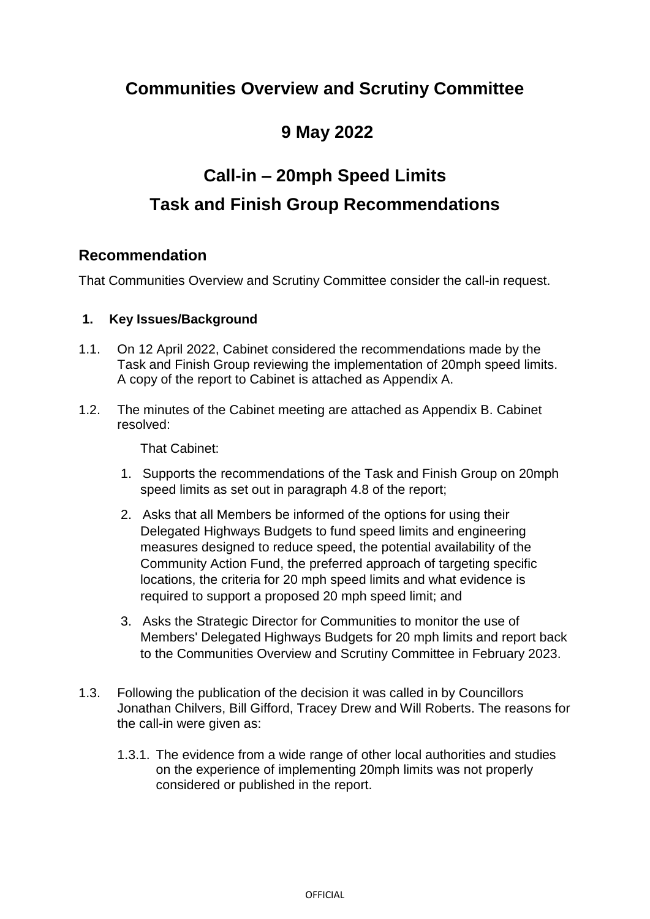# **Communities Overview and Scrutiny Committee**

# **9 May 2022**

# **Call-in – 20mph Speed Limits Task and Finish Group Recommendations**

### **Recommendation**

That Communities Overview and Scrutiny Committee consider the call-in request.

#### **1. Key Issues/Background**

- 1.1. On 12 April 2022, Cabinet considered the recommendations made by the Task and Finish Group reviewing the implementation of 20mph speed limits. A copy of the report to Cabinet is attached as Appendix A.
- 1.2. The minutes of the Cabinet meeting are attached as Appendix B. Cabinet resolved:

That Cabinet:

- 1. Supports the recommendations of the Task and Finish Group on 20mph speed limits as set out in paragraph 4.8 of the report;
- 2. Asks that all Members be informed of the options for using their Delegated Highways Budgets to fund speed limits and engineering measures designed to reduce speed, the potential availability of the Community Action Fund, the preferred approach of targeting specific locations, the criteria for 20 mph speed limits and what evidence is required to support a proposed 20 mph speed limit; and
- 3. Asks the Strategic Director for Communities to monitor the use of Members' Delegated Highways Budgets for 20 mph limits and report back to the Communities Overview and Scrutiny Committee in February 2023.
- 1.3. Following the publication of the decision it was called in by Councillors Jonathan Chilvers, Bill Gifford, Tracey Drew and Will Roberts. The reasons for the call-in were given as:
	- 1.3.1. The evidence from a wide range of other local authorities and studies on the experience of implementing 20mph limits was not properly considered or published in the report.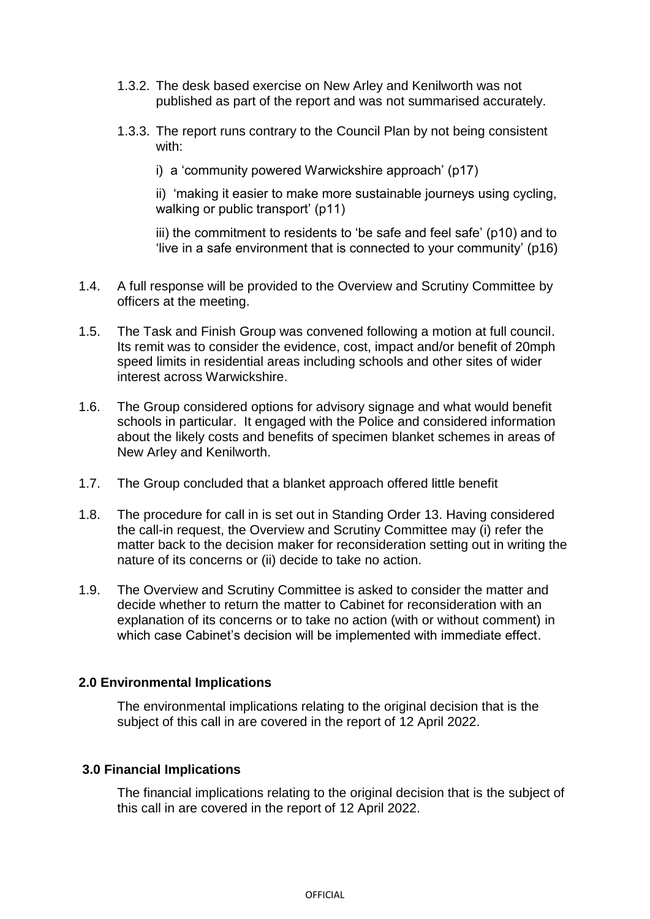- 1.3.2. The desk based exercise on New Arley and Kenilworth was not published as part of the report and was not summarised accurately.
- 1.3.3. The report runs contrary to the Council Plan by not being consistent with:

i) a 'community powered Warwickshire approach' (p17)

ii) 'making it easier to make more sustainable journeys using cycling, walking or public transport' (p11)

iii) the commitment to residents to 'be safe and feel safe' (p10) and to 'live in a safe environment that is connected to your community' (p16)

- 1.4. A full response will be provided to the Overview and Scrutiny Committee by officers at the meeting.
- 1.5. The Task and Finish Group was convened following a motion at full council. Its remit was to consider the evidence, cost, impact and/or benefit of 20mph speed limits in residential areas including schools and other sites of wider interest across Warwickshire.
- 1.6. The Group considered options for advisory signage and what would benefit schools in particular. It engaged with the Police and considered information about the likely costs and benefits of specimen blanket schemes in areas of New Arley and Kenilworth.
- 1.7. The Group concluded that a blanket approach offered little benefit
- 1.8. The procedure for call in is set out in Standing Order 13. Having considered the call-in request, the Overview and Scrutiny Committee may (i) refer the matter back to the decision maker for reconsideration setting out in writing the nature of its concerns or (ii) decide to take no action.
- 1.9. The Overview and Scrutiny Committee is asked to consider the matter and decide whether to return the matter to Cabinet for reconsideration with an explanation of its concerns or to take no action (with or without comment) in which case Cabinet's decision will be implemented with immediate effect.

#### **2.0 Environmental Implications**

The environmental implications relating to the original decision that is the subject of this call in are covered in the report of 12 April 2022.

#### **3.0 Financial Implications**

The financial implications relating to the original decision that is the subject of this call in are covered in the report of 12 April 2022.